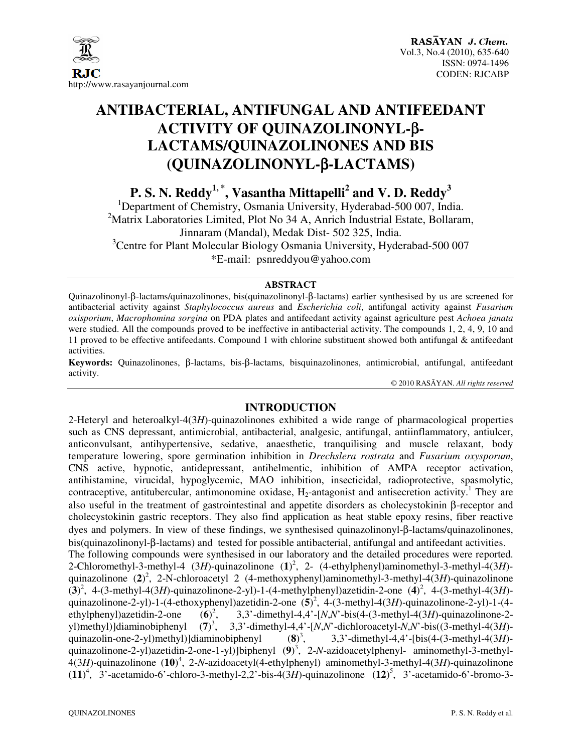

# **ANTIBACTERIAL, ANTIFUNGAL AND ANTIFEEDANT ACTIVITY OF QUINAZOLINONYL-**β**-LACTAMS/QUINAZOLINONES AND BIS (QUINAZOLINONYL-**β**-LACTAMS)**

**P. S. N. Reddy1, \*, Vasantha Mittapelli<sup>2</sup> and V. D. Reddy<sup>3</sup>**

<sup>1</sup>Department of Chemistry, Osmania University, Hyderabad-500 007, India. <sup>2</sup>Matrix Laboratories Limited, Plot No 34 A, Anrich Industrial Estate, Bollaram, Jinnaram (Mandal), Medak Dist- 502 325, India.  $3$ Centre for Plant Molecular Biology Osmania University, Hyderabad-500 007 \*E-mail: psnreddyou@yahoo.com

## **ABSTRACT**

Quinazolinonyl-β-lactams/quinazolinones, bis(quinazolinonyl-β-lactams) earlier synthesised by us are screened for antibacterial activity against *Staphylococcus aureus* and *Escherichia coli*, antifungal activity against *Fusarium oxisporium*, *Macrophomina sorgina* on PDA plates and antifeedant activity against agriculture pest *Achoea janata* were studied. All the compounds proved to be ineffective in antibacterial activity. The compounds 1, 2, 4, 9, 10 and 11 proved to be effective antifeedants. Compound 1 with chlorine substituent showed both antifungal & antifeedant activities.

**Keywords:** Quinazolinones, β-lactams, bis-β-lactams, bisquinazolinones, antimicrobial, antifungal, antifeedant activity.

© 2010 RASĀYAN. *All rights reserved*

## **INTRODUCTION**

2-Heteryl and heteroalkyl-4(3*H*)-quinazolinones exhibited a wide range of pharmacological properties such as CNS depressant, antimicrobial, antibacterial, analgesic, antifungal, antiinflammatory, antiulcer, anticonvulsant, antihypertensive, sedative, anaesthetic, tranquilising and muscle relaxant, body temperature lowering, spore germination inhibition in *Drechslera rostrata* and *Fusarium oxysporum*, CNS active, hypnotic, antidepressant, antihelmentic, inhibition of AMPA receptor activation, antihistamine, virucidal, hypoglycemic, MAO inhibition, insecticidal, radioprotective, spasmolytic, contraceptive, antitubercular, antimonomine oxidase,  $H_2$ -antagonist and antisecretion activity.<sup>1</sup> They are also useful in the treatment of gastrointestinal and appetite disorders as cholecystokinin β-receptor and cholecystokinin gastric receptors. They also find application as heat stable epoxy resins, fiber reactive dyes and polymers. In view of these findings, we synthesised quinazolinonyl-β-lactams/quinazolinones, bis(quinazolinonyl-β-lactams) and tested for possible antibacterial, antifungal and antifeedant activities. The following compounds were synthesised in our laboratory and the detailed procedures were reported. 2-Chloromethyl-3-methyl-4 (3*H*)-quinazolinone (**1**) 2 , 2- (4-ethylphenyl)aminomethyl-3-methyl-4(3*H*) quinazolinone (**2**) 2 , 2-N-chloroacetyl 2 (4-methoxyphenyl)aminomethyl-3-methyl-4(3*H*)-quinazolinone  $(3)^2$ , 4-(3-methyl-4(3*H*)-quinazolinone-2-yl)-1-(4-methylphenyl)azetidin-2-one  $(4)^2$ , 4-(3-methyl-4(3*H*)quinazolinone-2-yl)-1-(4-ethoxyphenyl)azetidin-2-one (**5**) 2 , 4-(3-methyl-4(3*H*)-quinazolinone-2-yl)-1-(4 ethylphenyl)azetidin-2-one (**6**)  $(6)^2$ , , 3,3'-dimethyl-4,4'-[*N*,*N*'-bis(4-(3-methyl-4(3*H*)-quinazolinone-2 yl)methyl)]diaminobiphenyl (**7**)  $(7)^3$ , , 3,3'-dimethyl-4,4'-[*N*,*N*'-dichloroacetyl-*N*,*N*'-bis((3-methyl-4(3*H*) quinazolin-one-2-yl)methyl)]diaminobiphenyl (**8**)  $(8)^3$ , , 3,3'-dimethyl-4,4'-[bis(4-(3-methyl-4(3*H*) quinazolinone-2-yl)azetidin-2-one-1-yl)]biphenyl (**9**) 3 , 2-*N*-azidoacetylphenyl- aminomethyl-3-methyl-4(3*H*)-quinazolinone (**10**) 4 , 2-*N*-azidoacetyl(4-ethylphenyl) aminomethyl-3-methyl-4(3*H*)-quinazolinone  $(11)^4$ ,  $3'$ -acetamido-6'-chloro-3-methyl-2,2'-bis-4(3*H*)-quinazolinone  $(12)^5$ ,  $3'$ -acetamido-6'-bromo-3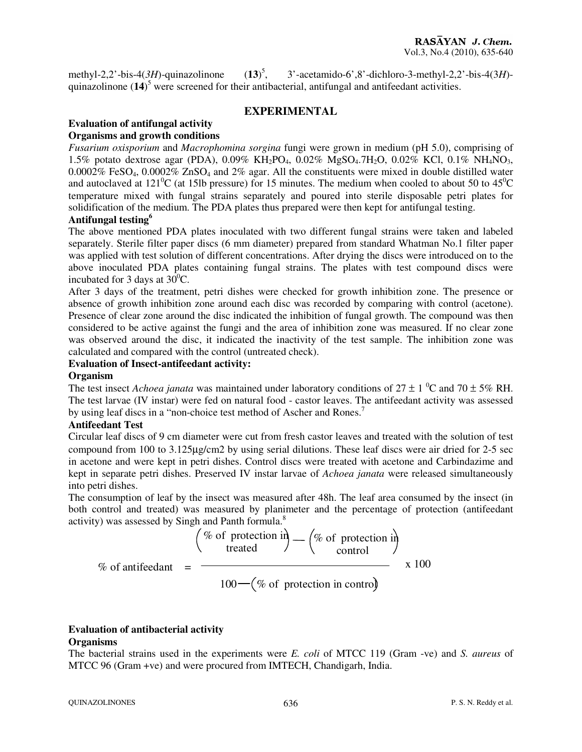methyl-2,2'-bis-4 $(3H)$ -quinazolinone  $(13)^5$ . , 3'-acetamido-6',8'-dichloro-3-methyl-2,2'-bis-4(3*H*) quinazolinone (**14**) 5 were screened for their antibacterial, antifungal and antifeedant activities.

## **EXPERIMENTAL**

#### **Evaluation of antifungal activity Organisms and growth conditions**

*Fusarium oxisporium* and *Macrophomina sorgina* fungi were grown in medium (pH 5.0), comprising of 1.5% potato dextrose agar (PDA), 0.09% KH2PO4, 0.02% MgSO4.7H2O, 0.02% KCl, 0.1% NH4NO3, 0.0002% FeSO4, 0.0002% ZnSO4 and 2% agar. All the constituents were mixed in double distilled water and autoclaved at 121<sup>o</sup>C (at 15lb pressure) for 15 minutes. The medium when cooled to about 50 to  $45^{\circ}$ C temperature mixed with fungal strains separately and poured into sterile disposable petri plates for solidification of the medium. The PDA plates thus prepared were then kept for antifungal testing.

## **Antifungal testing<sup>6</sup>**

The above mentioned PDA plates inoculated with two different fungal strains were taken and labeled separately. Sterile filter paper discs (6 mm diameter) prepared from standard Whatman No.1 filter paper was applied with test solution of different concentrations. After drying the discs were introduced on to the above inoculated PDA plates containing fungal strains. The plates with test compound discs were incubated for 3 days at  $30^0$ C.

After 3 days of the treatment, petri dishes were checked for growth inhibition zone. The presence or absence of growth inhibition zone around each disc was recorded by comparing with control (acetone). Presence of clear zone around the disc indicated the inhibition of fungal growth. The compound was then considered to be active against the fungi and the area of inhibition zone was measured. If no clear zone was observed around the disc, it indicated the inactivity of the test sample. The inhibition zone was calculated and compared with the control (untreated check).

## **Evaluation of Insect-antifeedant activity:**

#### **Organism**

The test insect *Achoea janata* was maintained under laboratory conditions of  $27 \pm 1$  <sup>0</sup>C and  $70 \pm 5\%$  RH. The test larvae (IV instar) were fed on natural food - castor leaves. The antifeedant activity was assessed by using leaf discs in a "non-choice test method of Ascher and Rones.<sup>7</sup>

## **Antifeedant Test**

Circular leaf discs of 9 cm diameter were cut from fresh castor leaves and treated with the solution of test compound from 100 to 3.125µg/cm2 by using serial dilutions. These leaf discs were air dried for 2-5 sec in acetone and were kept in petri dishes. Control discs were treated with acetone and Carbindazime and kept in separate petri dishes. Preserved IV instar larvae of *Achoea janata* were released simultaneously into petri dishes.

The consumption of leaf by the insect was measured after 48h. The leaf area consumed by the insect (in both control and treated) was measured by planimeter and the percentage of protection (antifeedant activity) was assessed by Singh and Panth formula. $8$ 

$$
\% \text{ of antifeedant} = \frac{\left(\% \text{ of protection in} \right) - \left(\% \text{ of protection in} \right)}{100 - \left(\% \text{ of protection in control}\right)} \times 100
$$

# **Evaluation of antibacterial activity**

## **Organisms**

The bacterial strains used in the experiments were *E. coli* of MTCC 119 (Gram -ve) and *S. aureus* of MTCC 96 (Gram +ve) and were procured from IMTECH, Chandigarh, India.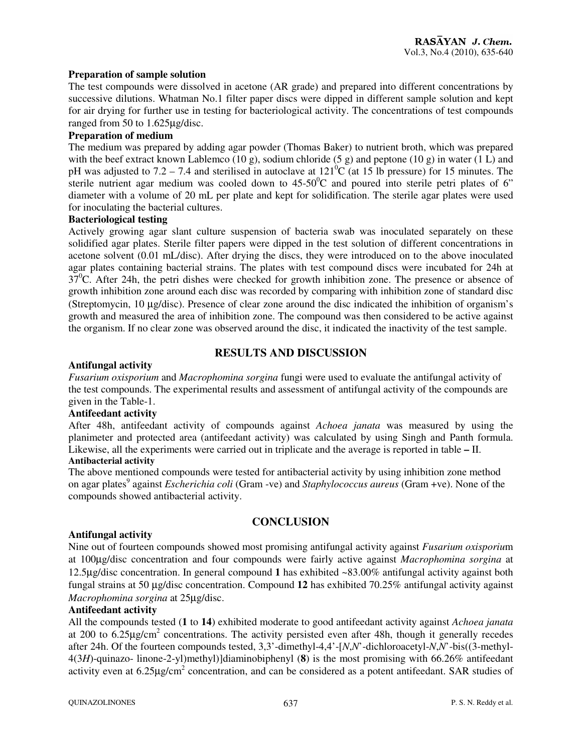## **Preparation of sample solution**

The test compounds were dissolved in acetone (AR grade) and prepared into different concentrations by successive dilutions. Whatman No.1 filter paper discs were dipped in different sample solution and kept for air drying for further use in testing for bacteriological activity. The concentrations of test compounds ranged from 50 to 1.625µg/disc.

#### **Preparation of medium**

The medium was prepared by adding agar powder (Thomas Baker) to nutrient broth, which was prepared with the beef extract known Lablemco (10 g), sodium chloride (5 g) and peptone (10 g) in water (1 L) and pH was adjusted to  $7.2 - 7.4$  and sterilised in autoclave at  $121^{\circ}$ C (at 15 lb pressure) for 15 minutes. The sterile nutrient agar medium was cooled down to  $45{\text -}50^{\circ}\text{C}$  and poured into sterile petri plates of 6" diameter with a volume of 20 mL per plate and kept for solidification. The sterile agar plates were used for inoculating the bacterial cultures.

## **Bacteriological testing**

Actively growing agar slant culture suspension of bacteria swab was inoculated separately on these solidified agar plates. Sterile filter papers were dipped in the test solution of different concentrations in acetone solvent (0.01 mL/disc). After drying the discs, they were introduced on to the above inoculated agar plates containing bacterial strains. The plates with test compound discs were incubated for 24h at  $37^{\circ}$ C. After 24h, the petri dishes were checked for growth inhibition zone. The presence or absence of growth inhibition zone around each disc was recorded by comparing with inhibition zone of standard disc (Streptomycin, 10 µg/disc). Presence of clear zone around the disc indicated the inhibition of organism's growth and measured the area of inhibition zone. The compound was then considered to be active against the organism. If no clear zone was observed around the disc, it indicated the inactivity of the test sample.

## **RESULTS AND DISCUSSION**

## **Antifungal activity**

*Fusarium oxisporium* and *Macrophomina sorgina* fungi were used to evaluate the antifungal activity of the test compounds. The experimental results and assessment of antifungal activity of the compounds are given in the Table-1.

## **Antifeedant activity**

After 48h, antifeedant activity of compounds against *Achoea janata* was measured by using the planimeter and protected area (antifeedant activity) was calculated by using Singh and Panth formula. Likewise, all the experiments were carried out in triplicate and the average is reported in table **–** II.

#### **Antibacterial activity**

The above mentioned compounds were tested for antibacterial activity by using inhibition zone method on agar plates<sup>9</sup> against *Escherichia coli* (Gram -ve) and *Staphylococcus aureus* (Gram +ve). None of the compounds showed antibacterial activity.

## **CONCLUSION**

## **Antifungal activity**

Nine out of fourteen compounds showed most promising antifungal activity against *Fusarium oxisporiu*m at 100µg/disc concentration and four compounds were fairly active against *Macrophomina sorgina* at 12.5µg/disc concentration. In general compound **1** has exhibited ~83.00% antifungal activity against both fungal strains at 50 µg/disc concentration. Compound **12** has exhibited 70.25% antifungal activity against *Macrophomina sorgina* at 25µg/disc.

## **Antifeedant activity**

All the compounds tested (**1** to **14**) exhibited moderate to good antifeedant activity against *Achoea janata* at 200 to 6.25 $\mu$ g/cm<sup>2</sup> concentrations. The activity persisted even after 48h, though it generally recedes after 24h. Of the fourteen compounds tested, 3,3'-dimethyl-4,4'-[*N*,*N*'-dichloroacetyl-*N*,*N*'-bis((3-methyl-4(3*H*)-quinazo- linone-2-yl)methyl)]diaminobiphenyl (**8**) is the most promising with 66.26% antifeedant activity even at  $6.25 \mu$ g/cm<sup>2</sup> concentration, and can be considered as a potent antifeedant. SAR studies of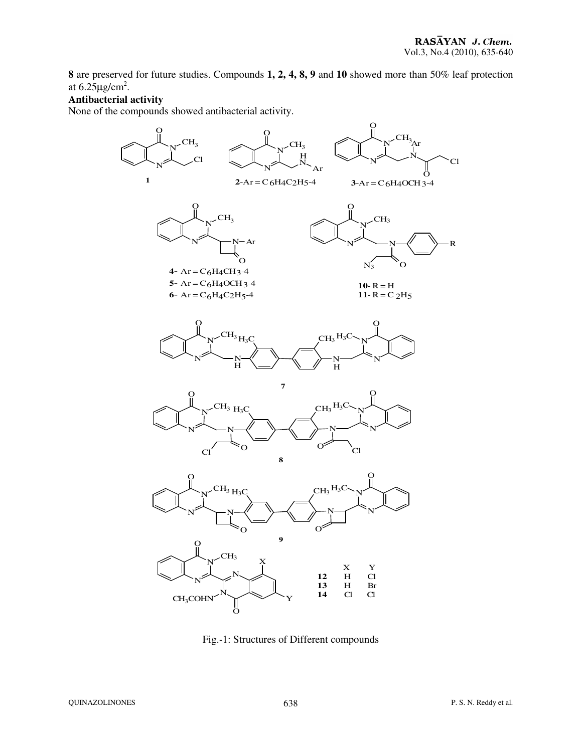**8** are preserved for future studies. Compounds **1, 2, 4, 8, 9** and **10** showed more than 50% leaf protection at  $6.25 \mu\text{g/cm}^2$ .

## **Antibacterial activity**

None of the compounds showed antibacterial activity.



Fig.-1: Structures of Different compounds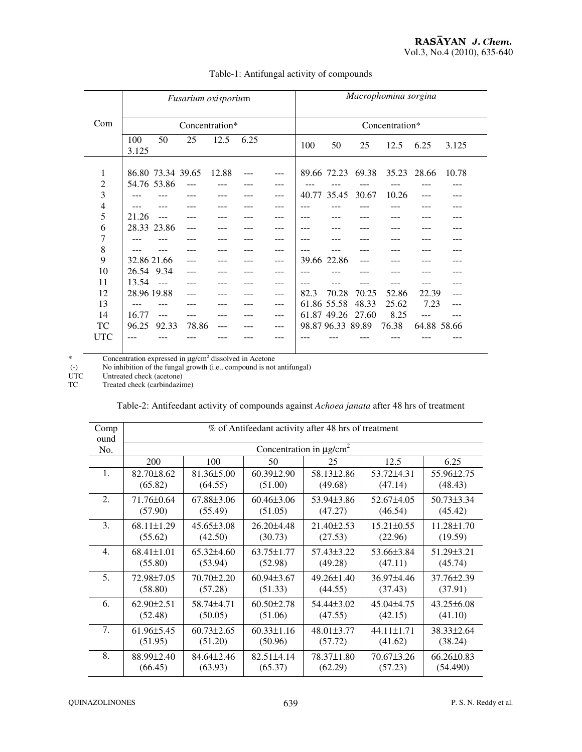|                | Fusarium oxisporium |                   |                |       |      | Macrophomina sorgina |      |                   |       |                               |             |       |
|----------------|---------------------|-------------------|----------------|-------|------|----------------------|------|-------------------|-------|-------------------------------|-------------|-------|
| Com            | Concentration*      |                   |                |       |      | Concentration*       |      |                   |       |                               |             |       |
|                | 100<br>3.125        | 50                | 25             | 12.5  | 6.25 |                      | 100  | 50                | 25    | 12.5                          | 6.25        | 3.125 |
| 1              |                     | 86.80 73.34 39.65 |                | 12.88 |      | $---$                |      |                   |       | 89.66 72.23 69.38 35.23 28.66 |             | 10.78 |
| 2              |                     | 54.76 53.86       | $\overline{a}$ |       |      | ---                  |      |                   |       |                               |             |       |
| 3              |                     |                   |                |       |      | ---                  |      | 40.77 35.45       | 30.67 | 10.26                         |             |       |
| $\overline{4}$ |                     |                   |                |       |      |                      |      |                   |       |                               |             |       |
| 5              | 21.26               |                   |                |       |      | ---                  |      |                   |       |                               |             |       |
| 6              |                     | 28.33 23.86       |                |       |      |                      |      |                   |       |                               |             |       |
| 7              |                     |                   |                |       |      | ---                  |      |                   |       |                               |             |       |
| 8              |                     |                   |                |       |      | ---                  |      |                   |       |                               |             |       |
| 9              | 32.86 21.66         |                   |                |       |      | $---$                |      | 39.66 22.86       |       |                               |             |       |
| 10             | 26.54 9.34          |                   |                |       |      | ---                  |      |                   |       |                               |             |       |
| 11             | 13.54               | $\sim$ $ -$       |                |       |      | ---                  |      |                   |       |                               |             |       |
| 12             | 28.96 19.88         |                   |                |       |      | $---$                | 82.3 | 70.28             | 70.25 | 52.86                         | 22.39       | ---   |
| 13             |                     |                   |                |       |      | ---                  |      | 61.86 55.58       | 48.33 | 25.62                         | 7.23        |       |
| 14             | 16.77               | $---$             |                |       |      | $---$                |      | 61.87 49.26       | 27.60 | 8.25                          |             |       |
| TC             | 96.25               | 92.33             | 78.86          | ---   |      | ---                  |      | 98.87 96.33 89.89 |       | 76.38                         | 64.88 58.66 |       |
| <b>UTC</b>     |                     |                   |                |       |      |                      |      |                   |       |                               |             |       |

#### Table-1: Antifungal activity of compounds

\* Concentration expressed in  $\mu$ g/cm<sup>2</sup> dissolved in Acetone

(-) No inhibition of the fungal growth (i.e., compound is not antifungal)

UTC Untreated check (acetone)

TC Treated check (carbindazime)

| Table-2: Antifeedant activity of compounds against Achoea janata after 48 hrs of treatment |  |  |
|--------------------------------------------------------------------------------------------|--|--|
|                                                                                            |  |  |

| Comp<br>ound     | % of Antifeedant activity after 48 hrs of treatment |                  |                  |                  |                  |                  |  |  |  |
|------------------|-----------------------------------------------------|------------------|------------------|------------------|------------------|------------------|--|--|--|
| No.              | Concentration in $\mu$ g/cm <sup>2</sup>            |                  |                  |                  |                  |                  |  |  |  |
|                  | 200                                                 | 100              | 50               | 25               | 12.5             | 6.25             |  |  |  |
| 1.               | $82.70 \pm 8.62$                                    | $81.36 \pm 5.00$ | $60.39 \pm 2.90$ | 58.13±2.86       | 53.72±4.31       | 55.96±2.75       |  |  |  |
|                  | (65.82)                                             | (64.55)          | (51.00)          | (49.68)          | (47.14)          | (48.43)          |  |  |  |
| 2.               | 71.76±0.64                                          | 67.88±3.06       | $60.46 \pm 3.06$ | 53.94±3.86       | 52.67±4.05       | $50.73 \pm 3.34$ |  |  |  |
|                  | (57.90)                                             | (55.49)          | (51.05)          | (47.27)          | (46.54)          | (45.42)          |  |  |  |
| 3.               | $68.11 \pm 1.29$                                    | $45.65\pm3.08$   | 26.20±4.48       | $21.40 \pm 2.53$ | $15.21 \pm 0.55$ | $11.28 \pm 1.70$ |  |  |  |
|                  | (55.62)                                             | (42.50)          | (30.73)          | (27.53)          | (22.96)          | (19.59)          |  |  |  |
| $\overline{4}$ . | $68.41 \pm 1.01$                                    | $65.32{\pm}4.60$ | $63.75 \pm 1.77$ | 57.43±3.22       | 53.66±3.84       | $51.29 \pm 3.21$ |  |  |  |
|                  | (55.80)                                             | (53.94)          | (52.98)          | (49.28)          | (47.11)          | (45.74)          |  |  |  |
| 5.               | 72.98±7.05                                          | 70.70±2.20       | $60.94\pm3.67$   | $49.26 \pm 1.40$ | 36.97±4.46       | 37.76±2.39       |  |  |  |
|                  | (58.80)                                             | (57.28)          | (51.33)          | (44.55)          | (37.43)          | (37.91)          |  |  |  |
| 6.               | $62.90 \pm 2.51$                                    | 58.74±4.71       | $60.50 \pm 2.78$ | $54.44\pm3.02$   | 45.04±4.75       | $43.25 \pm 6.08$ |  |  |  |
|                  | (52.48)                                             | (50.05)          | (51.06)          | (47.55)          | (42.15)          | (41.10)          |  |  |  |
| 7.               | $61.96 \pm 5.45$                                    | $60.73 \pm 2.65$ | $60.33 \pm 1.16$ | $48.01\pm3.77$   | 44.11±1.71       | 38.33±2.64       |  |  |  |
|                  | (51.95)                                             | (51.20)          | (50.96)          | (57.72)          | (41.62)          | (38.24)          |  |  |  |
| 8.               | 88.99±2.40                                          | 84.64±2.46       | $82.51 \pm 4.14$ | 78.37±1.80       | $70.67 \pm 3.26$ | $66.26 \pm 0.83$ |  |  |  |
|                  | (66.45)                                             | (63.93)          | (65.37)          | (62.29)          | (57.23)          | (54.490)         |  |  |  |